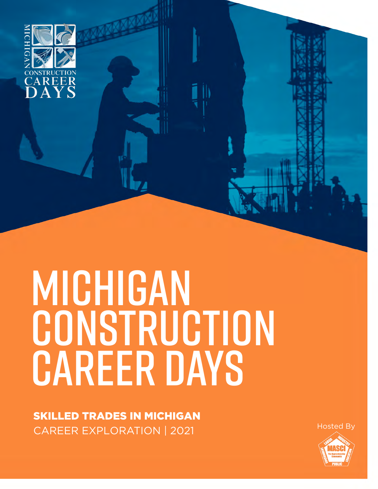

# Michigan CONSTRUCTION CAREER DAYS

SKILLED TRADES IN MICHIGAN CAREER EXPLORATION | 2021

Hosted By

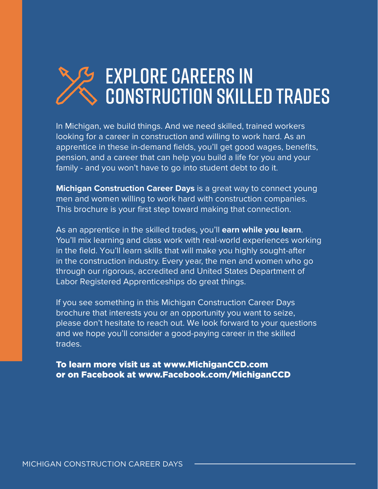# explore careers in construction skilled trades

In Michigan, we build things. And we need skilled, trained workers looking for a career in construction and willing to work hard. As an apprentice in these in-demand fields, you'll get good wages, benefits, pension, and a career that can help you build a life for you and your family - and you won't have to go into student debt to do it.

**Michigan Construction Career Days** is a great way to connect young men and women willing to work hard with construction companies. This brochure is your first step toward making that connection.

As an apprentice in the skilled trades, you'll **earn while you learn**. You'll mix learning and class work with real-world experiences working in the field. You'll learn skills that will make you highly sought-after in the construction industry. Every year, the men and women who go through our rigorous, accredited and United States Department of Labor Registered Apprenticeships do great things.

If you see something in this Michigan Construction Career Days brochure that interests you or an opportunity you want to seize, please don't hesitate to reach out. We look forward to your questions and we hope you'll consider a good-paying career in the skilled trades.

To learn more visit us at www.MichiganCCD.com or on Facebook at www.Facebook.com/MichiganCCD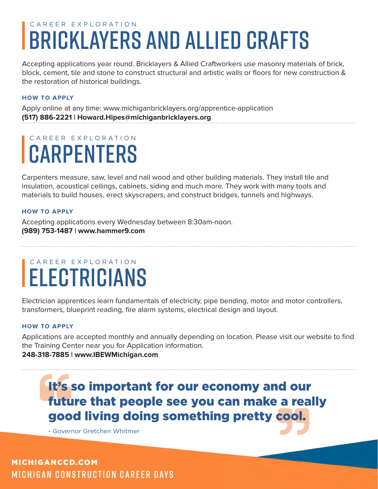# CAREER EXPLORATION BRICKLAYERS AND ALLIED CRAFTS

Accepting applications year round. Bricklayers & Allied Craftworkers use masonry materials of brick, block, cement, tile and stone to construct structural and artistic walls or floors for new construction & the restoration of historical buildings.

### **HOW TO APPLY**

Apply online at any time: www.michiganbricklayers.org/apprentice-application **(517) 886-2221 | Howard.Hipes@michiganbricklayers.org**

# CAREER EXPLORATION **CARPENTERS**

Carpenters measure, saw, level and nail wood and other building materials. They install tile and insulation, acoustical ceilings, cabinets, siding and much more. They work with many tools and materials to build houses, erect skyscrapers, and construct bridges, tunnels and highways.

### **HOW TO APPLY**

Accepting applications every Wednesday between 8:30am-noon. **(989) 753-1487 | www.hammer9.com**

# CAREER EXPLORATION ELECTRICIANS

Electrician apprentices learn fundamentals of electricity, pipe bending, motor and motor controllers, transformers, blueprint reading, fire alarm systems, electrical design and layout.

### **HOW TO APPLY**

Applications are accepted monthly and annually depending on location. Please visit our website to find the Training Center near you for Application information.

### **248-318-7885 | www.IBEWMichigan.com**

It's so important for our economy and our future that people see you can make a really good living doing something pretty cool.

- Governor Gretchen Whitmer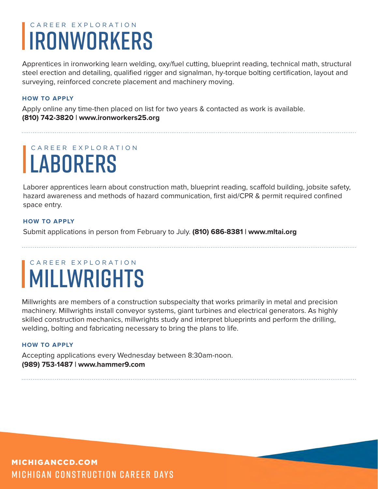# CAREER EXPLORATION IRONWORKERS

Apprentices in ironworking learn welding, oxy/fuel cutting, blueprint reading, technical math, structural steel erection and detailing, qualified rigger and signalman, hy-torque bolting certification, layout and surveying, reinforced concrete placement and machinery moving.

### **HOW TO APPLY**

Apply online any time-then placed on list for two years & contacted as work is available. **(810) 742-3820 | www.ironworkers25.org**

# CAREER EXPLORATION **LABORERS**

Laborer apprentices learn about construction math, blueprint reading, scaffold building, jobsite safety, hazard awareness and methods of hazard communication, first aid/CPR & permit required confined space entry.

### **HOW TO APPLY**

Submit applications in person from February to July. **(810) 686-8381 | www.mltai.org**

# CAREER EXPLORATION MILLWRIGHTS

Millwrights are members of a construction subspecialty that works primarily in metal and precision machinery. Millwrights install conveyor systems, giant turbines and electrical generators. As highly skilled construction mechanics, millwrights study and interpret blueprints and perform the drilling, welding, bolting and fabricating necessary to bring the plans to life.

### **HOW TO APPLY**

Accepting applications every Wednesday between 8:30am-noon. **(989) 753-1487 | www.hammer9.com**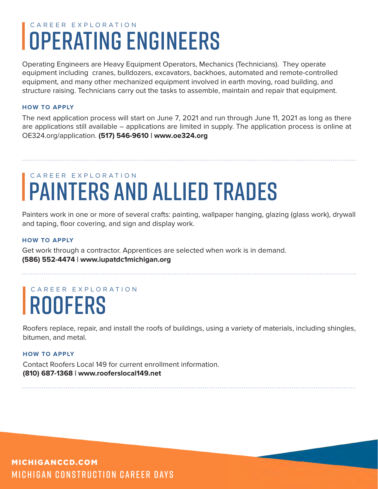# CAREER EXPLORATION OPERATING ENGINEERS

Operating Engineers are Heavy Equipment Operators, Mechanics (Technicians). They operate equipment including cranes, bulldozers, excavators, backhoes, automated and remote-controlled equipment, and many other mechanized equipment involved in earth moving, road building, and structure raising. Technicians carry out the tasks to assemble, maintain and repair that equipment.

### **HOW TO APPLY**

The next application process will start on June 7, 2021 and run through June 11, 2021 as long as there are applications still available – applications are limited in supply. The application process is online at OE324.org/application. **(517) 546-9610 | www.oe324.org**

# CAREER EXPLORATION PAINTERS AND ALLIED TRADES

Painters work in one or more of several crafts: painting, wallpaper hanging, glazing (glass work), drywall and taping, floor covering, and sign and display work.

### **HOW TO APPLY**

Get work through a contractor. Apprentices are selected when work is in demand. **(586) 552-4474 | www.iupatdc1michigan.org**

# CAREER EXPLORATION **ROOFERS**

Roofers replace, repair, and install the roofs of buildings, using a variety of materials, including shingles, bitumen, and metal.

### **HOW TO APPLY**

Contact Roofers Local 149 for current enrollment information. **(810) 687-1368 | www.rooferslocal149.net**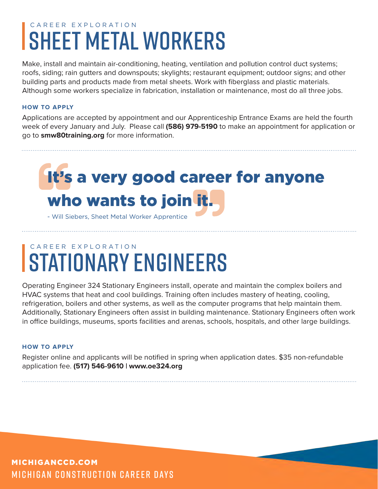# CAREER EXPLORATION SHEET METAL WORKERS

Make, install and maintain air-conditioning, heating, ventilation and pollution control duct systems; roofs, siding; rain gutters and downspouts; skylights; restaurant equipment; outdoor signs; and other building parts and products made from metal sheets. Work with fiberglass and plastic materials. Although some workers specialize in fabrication, installation or maintenance, most do all three jobs.

### **HOW TO APPLY**

Applications are accepted by appointment and our Apprenticeship Entrance Exams are held the fourth week of every January and July. Please call **(586) 979-5190** to make an appointment for application or go to **smw80training.org** for more information.

# It's a very good career for anyone who wants to join it.

- Will Siebers, Sheet Metal Worker Apprentice

# CAREER EXPLORATION STATIONARY ENGINEERS

Operating Engineer 324 Stationary Engineers install, operate and maintain the complex boilers and HVAC systems that heat and cool buildings. Training often includes mastery of heating, cooling, refrigeration, boilers and other systems, as well as the computer programs that help maintain them. Additionally, Stationary Engineers often assist in building maintenance. Stationary Engineers often work in office buildings, museums, sports facilities and arenas, schools, hospitals, and other large buildings.

### **HOW TO APPLY**

Register online and applicants will be notified in spring when application dates. \$35 non-refundable application fee. **(517) 546-9610 | www.oe324.org**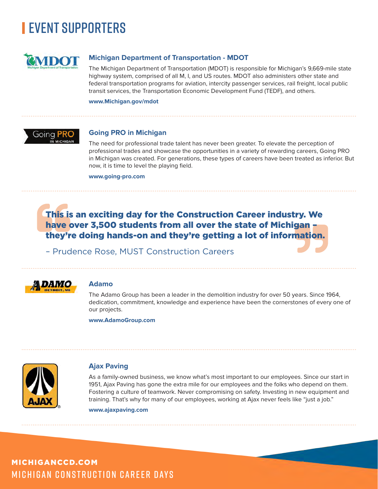

### **Michigan Department of Transportation - MDOT**

The Michigan Department of Transportation (MDOT) is responsible for Michigan's 9,669-mile state highway system, comprised of all M, I, and US routes. MDOT also administers other state and federal transportation programs for aviation, intercity passenger services, rail freight, local public transit services, the Transportation Economic Development Fund (TEDF), and others.

**www.Michigan.gov/mdot**



### **Going PRO in Michigan**

The need for professional trade talent has never been greater. To elevate the perception of professional trades and showcase the opportunities in a variety of rewarding careers, Going PRO in Michigan was created. For generations, these types of careers have been treated as inferior. But now, it is time to level the playing field.

**www.going-pro.com**

### This is an exciting day for the Construction Career industry. We have over 3,500 students from all over the state of Michigan they're doing hands-on and they're getting a lot of information.

– Prudence Rose, MUST Construction Careers



### **Adamo**

The Adamo Group has been a leader in the demolition industry for over 50 years. Since 1964, dedication, commitment, knowledge and experience have been the cornerstones of every one of our projects.

**www.AdamoGroup.com**



### **Ajax Paving**

As a family-owned business, we know what's most important to our employees. Since our start in 1951, Ajax Paving has gone the extra mile for our employees and the folks who depend on them. Fostering a culture of teamwork. Never compromising on safety. Investing in new equipment and training. That's why for many of our employees, working at Ajax never feels like "just a job."

**www.ajaxpaving.com**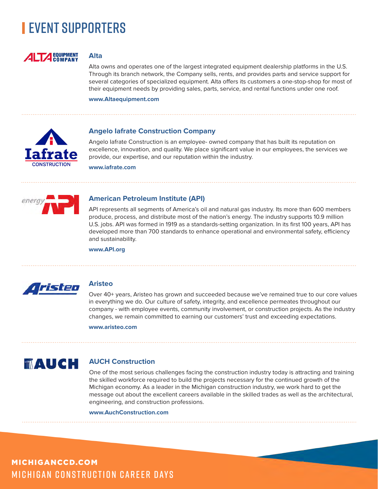

### **Alta**

Alta owns and operates one of the largest integrated equipment dealership platforms in the U.S. Through its branch network, the Company sells, rents, and provides parts and service support for several categories of specialized equipment. Alta offers its customers a one-stop-shop for most of their equipment needs by providing sales, parts, service, and rental functions under one roof.

**www.Altaequipment.com**



### **Angelo Iafrate Construction Company**

Angelo Iafrate Construction is an employee- owned company that has built its reputation on excellence, innovation, and quality. We place significant value in our employees, the services we provide, our expertise, and our reputation within the industry.

**www.iafrate.com**



### **American Petroleum Institute (API)**

API represents all segments of America's oil and natural gas industry. Its more than 600 members produce, process, and distribute most of the nation's energy. The industry supports 10.9 million U.S. jobs. API was formed in 1919 as a standards-setting organization. In its first 100 years, API has developed more than 700 standards to enhance operational and environmental safety, efficiency and sustainability.

**www.API.org**



### **Aristeo**

Over 40+ years, Aristeo has grown and succeeded because we've remained true to our core values in everything we do. Our culture of safety, integrity, and excellence permeates throughout our company - with employee events, community involvement, or construction projects. As the industry changes, we remain committed to earning our customers' trust and exceeding expectations.

**www.aristeo.com**

# **MAUCH**

### **AUCH Construction**

One of the most serious challenges facing the construction industry today is attracting and training the skilled workforce required to build the projects necessary for the continued growth of the Michigan economy. As a leader in the Michigan construction industry, we work hard to get the message out about the excellent careers available in the skilled trades as well as the architectural, engineering, and construction professions.

**www.AuchConstruction.com**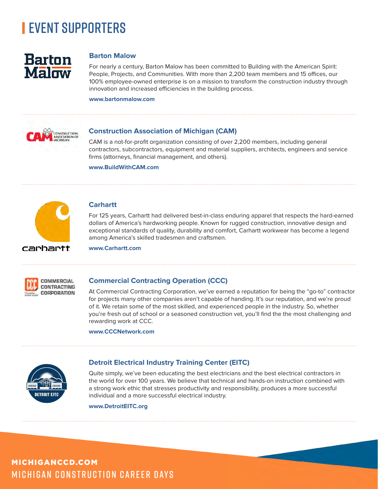

### **Barton Malow**

For nearly a century, Barton Malow has been committed to Building with the American Spirit: People, Projects, and Communities. With more than 2,200 team members and 15 offices, our 100% employee-owned enterprise is on a mission to transform the construction industry through innovation and increased efficiencies in the building process.

### **www.bartonmalow.com**



### **Construction Association of Michigan (CAM)**

CAM is a not-for-profit organization consisting of over 2,200 members, including general contractors, subcontractors, equipment and material suppliers, architects, engineers and service firms (attorneys, financial management, and others).

**www.BuildWithCAM.com**



### **Carhartt**

For 125 years, Carhartt had delivered best-in-class enduring apparel that respects the hard-earned dollars of America's hardworking people. Known for rugged construction, innovative design and exceptional standards of quality, durability and comfort, Carhartt workwear has become a legend among America's skilled tradesmen and craftsmen.

**www.Carhartt.com**



### **Commercial Contracting Operation (CCC)**

At Commercial Contracting Corporation, we've earned a reputation for being the "go-to" contractor for projects many other companies aren't capable of handing. It's our reputation, and we're proud of it. We retain some of the most skilled, and experienced people in the industry. So, whether you're fresh out of school or a seasoned construction vet, you'll find the the most challenging and rewarding work at CCC.

### **www.CCCNetwork.com**



### **Detroit Electrical Industry Training Center (EITC)**

Quite simply, we've been educating the best electricians and the best electrical contractors in the world for over 100 years. We believe that technical and hands-on instruction combined with a strong work ethic that stresses productivity and responsibility, produces a more successful individual and a more successful electrical industry.

### **www.DetroitEITC.org**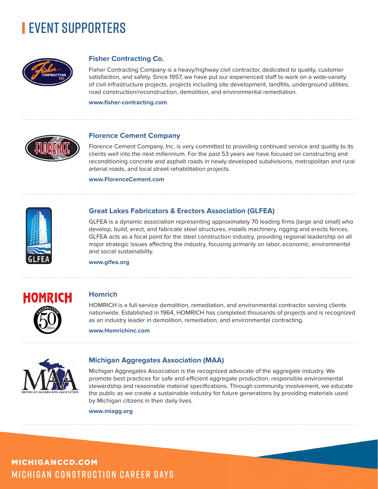

### **Fisher Contracting Co.**

Fisher Contracting Company is a heavy/highway civil contractor, dedicated to quality, customer satisfaction, and safety. Since 1957, we have put our experienced staff to work on a wide-variety of civil infrastructure projects, projects including site development, landfills, underground utilities, road construction/reconstruction, demolition, and environmental remediation.

**www.fisher-contracting.com**



### **Florence Cement Company**

Florence Cement Company, Inc. is very committed to providing continued service and quality to its clients well into the next millennium. For the past 53 years we have focused on constructing and reconditioning concrete and asphalt roads in newly developed subdivisions, metropolitan and rural arterial roads, and local street rehabilitation projects.

**www.FlorenceCement.com**



### **Great Lakes Fabricators & Erectors Association (GLFEA)**

GLFEA is a dynamic association representing approximately 70 leading firms (large and small) who develop, build, erect, and fabricate steel structures, installs machinery, rigging and erects fences. GLFEA acts as a focal point for the steel construction industry, providing regional leadership on all major strategic issues affecting the industry, focusing primarily on labor, economic, environmental and social sustainability.

**www.glfea.org**



### **Homrich**

HOMRICH is a full-service demolition, remediation, and environmental contractor serving clients nationwide. Established in 1964, HOMRICH has completed thousands of projects and is recognized as an industry leader in demolition, remediation, and environmental contracting.

**www.Homrichinc.com**



### **Michigan Aggregates Association (MAA)**

Michigan Aggregates Association is the recognized advocate of the aggregate industry. We promote best practices for safe and efficient aggregate production, responsible environmental stewardship and reasonable material specifications. Through community involvement, we educate the public as we create a sustainable industry for future generations by providing materials used by Michigan citizens in their daily lives.

**www.miagg.org**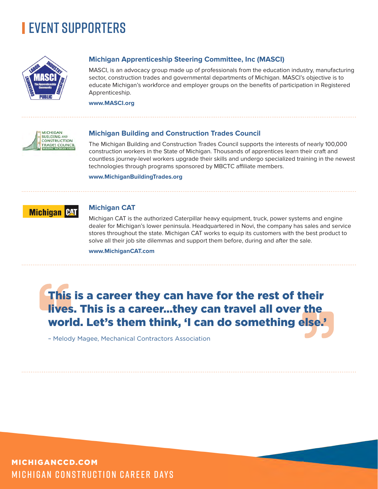

### **Michigan Apprenticeship Steering Committee, Inc (MASCI)**

MASCI, is an advocacy group made up of professionals from the education industry, manufacturing sector, construction trades and governmental departments of Michigan. MASCI's objective is to educate Michigan's workforce and employer groups on the benefits of participation in Registered Apprenticeship.

**www.MASCI.org**



### **Michigan Building and Construction Trades Council**

The Michigan Building and Construction Trades Council supports the interests of nearly 100,000 construction workers in the State of Michigan. Thousands of apprentices learn their craft and countless journey-level workers upgrade their skills and undergo specialized training in the newest technologies through programs sponsored by MBCTC affiliate members.

**www.MichiganBuildingTrades.org**



### **Michigan CAT**

Michigan CAT is the authorized Caterpillar heavy equipment, truck, power systems and engine dealer for Michigan's lower peninsula. Headquartered in Novi, the company has sales and service stores throughout the state. Michigan CAT works to equip its customers with the best product to solve all their job site dilemmas and support them before, during and after the sale.

**www.MichiganCAT.com** 

## This is a career they can have for the rest of their lives. This is a career…they can travel all over the world. Let's them think, 'I can do something else.'

– Melody Magee, Mechanical Contractors Association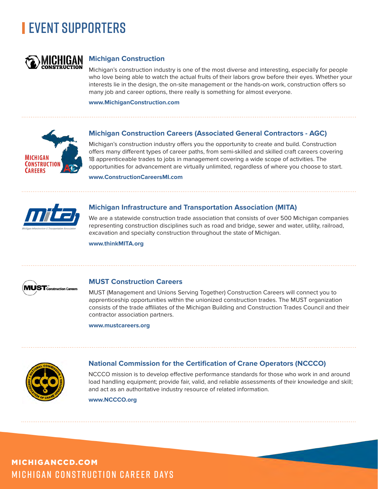

### **Michigan Construction**

Michigan's construction industry is one of the most diverse and interesting, especially for people who love being able to watch the actual fruits of their labors grow before their eyes. Whether your interests lie in the design, the on-site management or the hands-on work, construction offers so many job and career options, there really is something for almost everyone.

**www.MichiganConstruction.com**



### **Michigan Construction Careers (Associated General Contractors - AGC)**

Michigan's construction industry offers you the opportunity to create and build. Construction offers many different types of career paths, from semi-skilled and skilled craft careers covering 18 apprenticeable trades to jobs in management covering a wide scope of activities. The opportunities for advancement are virtually unlimited, regardless of where you choose to start.

**www.ConstructionCareersMI.com**



### **Michigan Infrastructure and Transportation Association (MITA)**

We are a statewide construction trade association that consists of over 500 Michigan companies representing construction disciplines such as road and bridge, sewer and water, utility, railroad, excavation and specialty construction throughout the state of Michigan.

**www.thinkMITA.org**



### **MUST Construction Careers**

MUST (Management and Unions Serving Together) Construction Careers will connect you to apprenticeship opportunities within the unionized construction trades. The MUST organization consists of the trade affiliates of the Michigan Building and Construction Trades Council and their contractor association partners.

**www.mustcareers.org**



### **National Commission for the Certification of Crane Operators (NCCCO)**

NCCCO mission is to develop effective performance standards for those who work in and around load handling equipment; provide fair, valid, and reliable assessments of their knowledge and skill; and act as an authoritative industry resource of related information.

**www.NCCCO.org**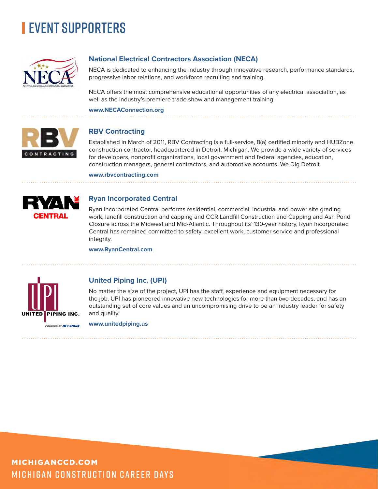

### **National Electrical Contractors Association (NECA)**

NECA is dedicated to enhancing the industry through innovative research, performance standards, progressive labor relations, and workforce recruiting and training.

NECA offers the most comprehensive educational opportunities of any electrical association, as well as the industry's premiere trade show and management training.

### **www.NECAConnection.org**



### **RBV Contracting**

Established in March of 2011, RBV Contracting is a full-service, 8(a) certified minority and HUBZone construction contractor, headquartered in Detroit, Michigan. We provide a wide variety of services for developers, nonprofit organizations, local government and federal agencies, education, construction managers, general contractors, and automotive accounts. We Dig Detroit.

**www.rbvcontracting.com**



### **Ryan Incorporated Central**

Ryan Incorporated Central performs residential, commercial, industrial and power site grading work, landfill construction and capping and CCR Landfill Construction and Capping and Ash Pond Closure across the Midwest and Mid-Atlantic. Throughout its' 130-year history, Ryan Incorporated Central has remained committed to safety, excellent work, customer service and professional integrity.

**www.RyanCentral.com**



### **United Piping Inc. (UPI)**

No matter the size of the project, UPI has the staff, experience and equipment necessary for the job. UPI has pioneered innovative new technologies for more than two decades, and has an outstanding set of core values and an uncompromising drive to be an industry leader for safety and quality.

**www.unitedpiping.us**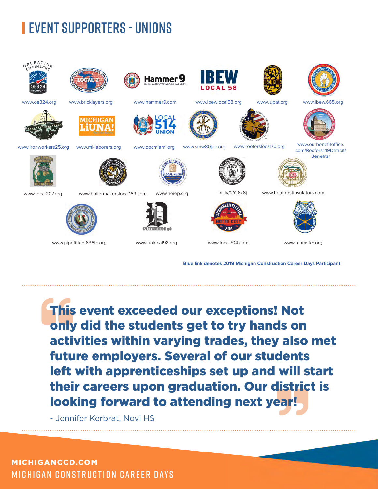# **EVENT SUPPORTERS - UNIONS**



**Blue link denotes 2019 Michigan Construction Career Days Participant**

This event exceeded our exceptions! Not only did the students get to try hands on activities within varying trades, they also met future employers. Several of our students left with apprenticeships set up and will start their careers upon graduation. Our district is looking forward to attending next year!

- Jennifer Kerbrat, Novi HS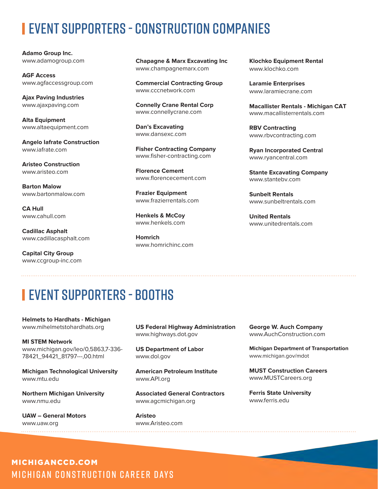# EVENT SUPPORTERS - CONSTRUCTION COMPANIES

**Adamo Group Inc.** www.adamogroup.com

**AGF Access** www.agfaccessgroup.com

**Ajax Paving Industries** www.ajaxpaving.com

**Alta Equipment** www.altaequipment.com

**Angelo Iafrate Construction** www.iafrate.com

**Aristeo Construction** www.aristeo.com

**Barton Malow** www.bartonmalow.com

**CA Hull** www.cahull.com

**Cadillac Asphalt** www.cadillacasphalt.com

**Capital City Group** www.ccgroup-inc.com **Chapagne & Marx Excavating Inc** www.champagnemarx.com

**Commercial Contracting Group** www.cccnetwork.com

**Connelly Crane Rental Corp** www.connellycrane.com

**Dan's Excavating** www.dansexc.com

**Fisher Contracting Company** www.fisher-contracting.com

**Florence Cement** www.florencecement.com

**Frazier Equipment** www.frazierrentals.com

**Henkels & McCoy** www.henkels.com

**Homrich** www.homrichinc.com **Klochko Equipment Rental**  www.klochko.com

**Laramie Enterprises** www.laramiecrane.com

**Macallister Rentals - Michigan CAT** www.macallisterrentals.com

**RBV Contracting** www.rbvcontracting.com

**Ryan Incorporated Central** www.ryancentral.com

**Stante Excavating Company** www.stantebv.com

**Sunbelt Rentals** www.sunbeltrentals.com

**United Rentals** www.unitedrentals.com

# EVENT SUPPORTERS - BOOTHS

**Helmets to Hardhats - Michigan** www.mihelmetstohardhats.org

**MI STEM Network** www.michigan.gov/leo/0,5863,7-336- 78421\_94421\_81797---,00.html

**Michigan Technological University**  www.mtu.edu

**Northern Michigan University**  www.nmu.edu

**UAW – General Motors**  www.uaw.org

**US Federal Highway Administration** www.highways.dot.gov

**US Department of Labor**  www.dol.gov

**American Petroleum Institute** www.API.org

**Associated General Contractors** www.agcmichigan.org

**Aristeo** www.Aristeo.com **George W. Auch Company** www.AuchConstruction.com

**Michigan Department of Transportation** www.michigan.gov/mdot

**MUST Construction Careers** www.MUSTCareers.org

**Ferris State University** www.ferris.edu